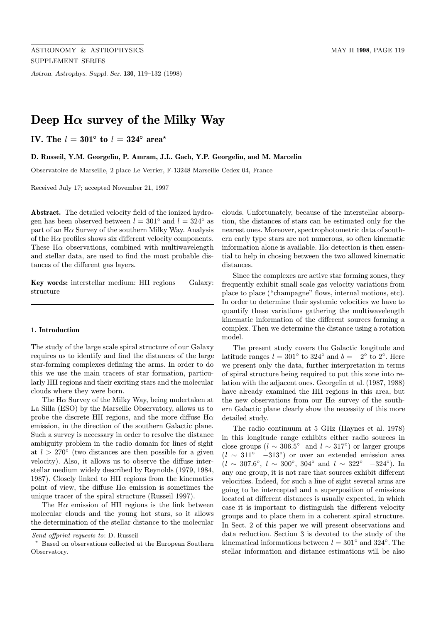Astron. Astrophys. Suppl. Ser. 130, 119–132 (1998)

# Deep  $H\alpha$  survey of the Milky Way

IV. The  $l = 301^{\circ}$  to  $l = 324^{\circ}$  area\*

D. Russeil, Y.M. Georgelin, P. Amram, J.L. Gach, Y.P. Georgelin, and M. Marcelin

Observatoire de Marseille, 2 place Le Verrier, F-13248 Marseille Cedex 04, France

Received July 17; accepted November 21, 1997

Abstract. The detailed velocity field of the ionized hydrogen has been observed between  $l = 301°$  and  $l = 324°$  as part of an  $H\alpha$  Survey of the southern Milky Way. Analysis of the  $H\alpha$  profiles shows six different velocity components. These  $H\alpha$  observations, combined with multiwavelength and stellar data, are used to find the most probable distances of the different gas layers.

Key words: interstellar medium: HII regions — Galaxy: structure

#### 1. Introduction

The study of the large scale spiral structure of our Galaxy requires us to identify and find the distances of the large star-forming complexes defining the arms. In order to do this we use the main tracers of star formation, particularly HII regions and their exciting stars and the molecular clouds where they were born.

The  $H\alpha$  Survey of the Milky Way, being undertaken at La Silla (ESO) by the Marseille Observatory, allows us to probe the discrete HII regions, and the more diffuse  $H\alpha$ emission, in the direction of the southern Galactic plane. Such a survey is necessary in order to resolve the distance ambiguity problem in the radio domain for lines of sight at  $l > 270^{\circ}$  (two distances are then possible for a given velocity). Also, it allows us to observe the diffuse interstellar medium widely described by Reynolds (1979, 1984, 1987). Closely linked to HII regions from the kinematics point of view, the diffuse  $H\alpha$  emission is sometimes the unique tracer of the spiral structure (Russeil 1997).

The  $H\alpha$  emission of HII regions is the link between molecular clouds and the young hot stars, so it allows the determination of the stellar distance to the molecular

clouds. Unfortunately, because of the interstellar absorption, the distances of stars can be estimated only for the nearest ones. Moreover, spectrophotometric data of southern early type stars are not numerous, so often kinematic information alone is available. H $\alpha$  detection is then essential to help in chosing between the two allowed kinematic distances.

Since the complexes are active star forming zones, they frequently exhibit small scale gas velocity variations from place to place ("champagne" flows, internal motions, etc). In order to determine their systemic velocities we have to quantify these variations gathering the multiwavelength kinematic information of the different sources forming a complex. Then we determine the distance using a rotation model.

The present study covers the Galactic longitude and latitude ranges  $l = 301°$  to  $324°$  and  $b = -2°$  to  $2°$ . Here we present only the data, further interpretation in terms of spiral structure being required to put this zone into relation with the adjacent ones. Georgelin et al. (1987, 1988) have already examined the HII regions in this area, but the new observations from our  $H\alpha$  survey of the southern Galactic plane clearly show the necessity of this more detailed study.

The radio continuum at 5 GHz (Haynes et al. 1978) in this longitude range exhibits either radio sources in close groups ( $l \sim 306.5^{\circ}$  and  $l \sim 317^{\circ}$ ) or larger groups  $(l \sim 311° -313°)$  or over an extended emission area  $(l \sim 307.6^{\circ}, l \sim 300^{\circ}, 304^{\circ}$  and  $l \sim 322^{\circ}$  -324°). In any one group, it is not rare that sources exhibit different velocities. Indeed, for such a line of sight several arms are going to be intercepted and a superposition of emissions located at different distances is usually expected, in which case it is important to distinguish the different velocity groups and to place them in a coherent spiral structure. In Sect. 2 of this paper we will present observations and data reduction. Section 3 is devoted to the study of the kinematical informations between  $l = 301°$  and  $324°$ . The stellar information and distance estimations will be also

Send offprint requests to: D. Russeil

<sup>?</sup> Based on observations collected at the European Southern Observatory.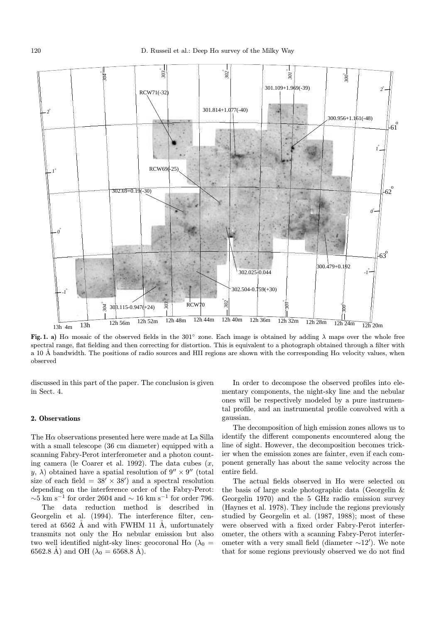

Fig. 1. a) H $\alpha$  mosaic of the observed fields in the 301 $\degree$  zone. Each image is obtained by adding  $\lambda$  maps over the whole free spectral range, flat fielding and then correcting for distortion. This is equivalent to a photograph obtained through a filter with a 10 Å bandwidth. The positions of radio sources and HII regions are shown with the corresponding H $\alpha$  velocity values, when observed

discussed in this part of the paper. The conclusion is given in Sect. 4.

## 2. Observations

The  $H\alpha$  observations presented here were made at La Silla with a small telescope (36 cm diameter) equipped with a scanning Fabry-Perot interferometer and a photon counting camera (le Coarer et al. 1992). The data cubes  $(x,$ y,  $\lambda$ ) obtained have a spatial resolution of  $9'' \times 9''$  (total size of each field =  $38' \times 38'$  and a spectral resolution depending on the interference order of the Fabry-Perot:  $\sim$ 5 km s<sup>-1</sup> for order 2604 and  $\sim$  16 km s<sup>-1</sup> for order 796.

The data reduction method is described in Georgelin et al. (1994). The interference filter, centered at  $6562$  Å and with FWHM 11 Å, unfortunately transmits not only the  $H\alpha$  nebular emission but also two well identified night-sky lines: geocoronal H $\alpha$  ( $\lambda_0$  = 6562.8 Å) and OH ( $\lambda_0 = 6568.8$  Å).

In order to decompose the observed profiles into elementary components, the night-sky line and the nebular ones will be respectively modeled by a pure instrumental profile, and an instrumental profile convolved with a gaussian.

The decomposition of high emission zones allows us to identify the different components encountered along the line of sight. However, the decomposition becomes trickier when the emission zones are fainter, even if each component generally has about the same velocity across the entire field.

The actual fields observed in  $H\alpha$  were selected on the basis of large scale photographic data (Georgelin & Georgelin 1970) and the 5 GHz radio emission survey (Haynes et al. 1978). They include the regions previously studied by Georgelin et al. (1987, 1988); most of these were observed with a fixed order Fabry-Perot interferometer, the others with a scanning Fabry-Perot interferometer with a very small field (diameter  $\sim$ 12'). We note that for some regions previously observed we do not find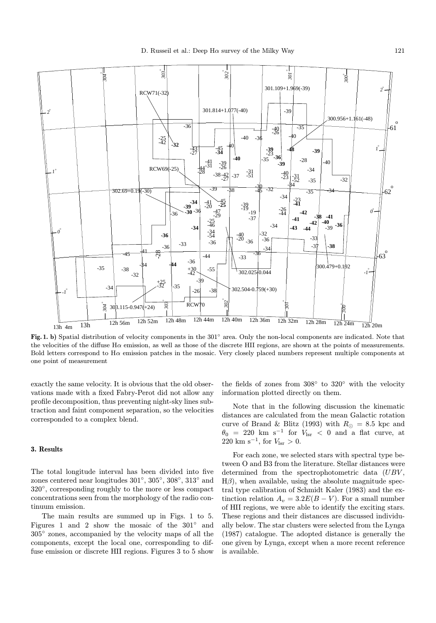

Fig. 1. b) Spatial distribution of velocity components in the 301◦ area. Only the non-local components are indicated. Note that the velocities of the diffuse Hα emission, as well as those of the discrete HII regions, are shown at the points of measurements. Bold letters correspond to  $H\alpha$  emission patches in the mosaic. Very closely placed numbers represent multiple components at one point of measurement

exactly the same velocity. It is obvious that the old observations made with a fixed Fabry-Perot did not allow any profile decomposition, thus preventing night-sky lines subtraction and faint component separation, so the velocities corresponded to a complex blend.

## 3. Results

The total longitude interval has been divided into five zones centered near longitudes 301◦, 305◦, 308◦, 313◦ and 320◦, corresponding roughly to the more or less compact concentrations seen from the morphology of the radio continuum emission.

The main results are summed up in Figs. 1 to 5. Figures 1 and 2 show the mosaic of the 301◦ and 305◦ zones, accompanied by the velocity maps of all the components, except the local one, corresponding to diffuse emission or discrete HII regions. Figures 3 to 5 show the fields of zones from 308◦ to 320◦ with the velocity information plotted directly on them.

Note that in the following discussion the kinematic distances are calculated from the mean Galactic rotation curve of Brand & Blitz (1993) with  $R_{\odot} = 8.5$  kpc and  $\theta_0$  = 220 km s<sup>-1</sup> for  $V_{\text{lsr}}$  < 0 and a flat curve, at 220 km s<sup>-1</sup>, for  $V_{\text{lsr}} > 0$ .

For each zone, we selected stars with spectral type between O and B3 from the literature. Stellar distances were determined from the spectrophotometric data (UBV,  $H\beta$ , when available, using the absolute magnitude spectral type calibration of Schmidt Kaler (1983) and the extinction relation  $A_v = 3.2E(B - V)$ . For a small number of HII regions, we were able to identify the exciting stars. These regions and their distances are discussed individually below. The star clusters were selected from the Lynga (1987) catalogue. The adopted distance is generally the one given by Lynga, except when a more recent reference is available.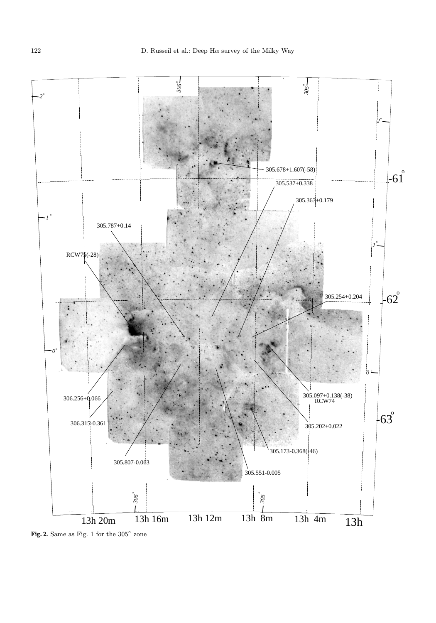

Fig. 2. Same as Fig. 1 for the 305◦ zone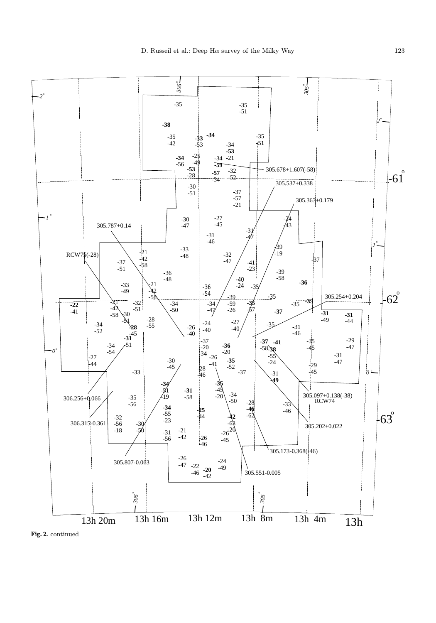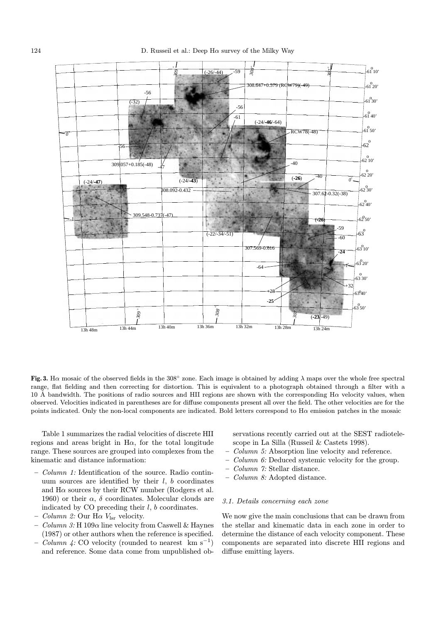

Fig. 3. Ha mosaic of the observed fields in the 308 $^{\circ}$  zone. Each image is obtained by adding  $\lambda$  maps over the whole free spectral range, flat fielding and then correcting for distortion. This is equivalent to a photograph obtained through a filter with a 10 Å bandwidth. The positions of radio sources and HII regions are shown with the corresponding H $\alpha$  velocity values, when observed. Velocities indicated in parentheses are for diffuse components present all over the field. The other velocities are for the points indicated. Only the non-local components are indicated. Bold letters correspond to  $H\alpha$  emission patches in the mosaic

Table 1 summarizes the radial velocities of discrete HII regions and areas bright in  $H\alpha$ , for the total longitude range. These sources are grouped into complexes from the kinematic and distance information:

- $Column 1: Identification of the source. Radio contin$ uum sources are identified by their  $l, b$  coordinates and  $H\alpha$  sources by their RCW number (Rodgers et al. 1960) or their  $\alpha$ ,  $\delta$  coordinates. Molecular clouds are indicated by CO preceding their  $l, b$  coordinates.
- Column 2: Our H $\alpha$  V<sub>lsr</sub> velocity.
- Column 3: H  $109\alpha$  line velocity from Caswell & Haynes (1987) or other authors when the reference is specified.
- *Column 4:* CO velocity (rounded to nearest km s<sup>−1</sup>) and reference. Some data come from unpublished ob-

servations recently carried out at the SEST radiotelescope in La Silla (Russeil & Castets 1998).

- Column 5: Absorption line velocity and reference.
- Column 6: Deduced systemic velocity for the group.
- Column 7: Stellar distance.
- Column 8: Adopted distance.

#### 3.1. Details concerning each zone

We now give the main conclusions that can be drawn from the stellar and kinematic data in each zone in order to determine the distance of each velocity component. These components are separated into discrete HII regions and diffuse emitting layers.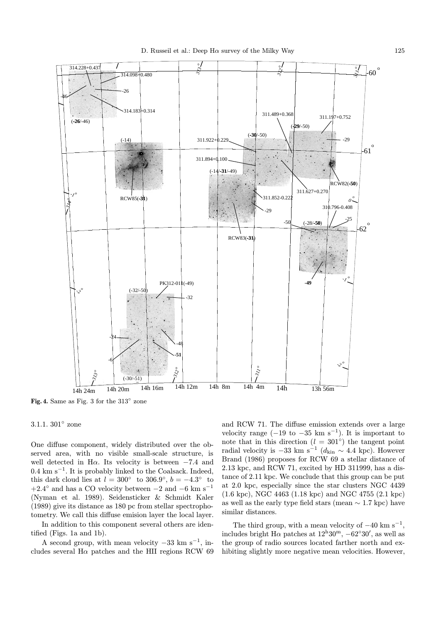

Fig. 4. Same as Fig. 3 for the 313◦ zone

#### 3.1.1. 301◦ zone

One diffuse component, widely distributed over the observed area, with no visible small-scale structure, is well detected in H $\alpha$ . Its velocity is between  $-7.4$  and  $0.4 \text{ km s}^{-1}$ . It is probably linked to the Coalsack. Indeed, this dark cloud lies at  $l = 300°$  to  $306.9°$ ,  $b = -4.3°$  to +2.4 $\degree$  and has a CO velocity between  $-2$  and  $-6$  km s<sup>-1</sup> (Nyman et al. 1989). Seidensticker & Schmidt Kaler (1989) give its distance as 180 pc from stellar spectrophotometry. We call this diffuse emision layer the local layer.

In addition to this component several others are identified (Figs. 1a and 1b).

A second group, with mean velocity  $-33 \text{ km s}^{-1}$ , includes several  $H\alpha$  patches and the HII regions RCW 69 and RCW 71. The diffuse emission extends over a large velocity range  $(-19 \text{ to } -35 \text{ km s}^{-1})$ . It is important to note that in this direction ( $l = 301°$ ) the tangent point radial velocity is −33 km s<sup> $-1$ </sup> ( $d_{\text{kin}} \sim 4.4$  kpc). However Brand (1986) proposes for RCW 69 a stellar distance of 2.13 kpc, and RCW 71, excited by HD 311999, has a distance of 2.11 kpc. We conclude that this group can be put at 2.0 kpc, especially since the star clusters NGC 4439 (1.6 kpc), NGC 4463 (1.18 kpc) and NGC 4755 (2.1 kpc) as well as the early type field stars (mean  $\sim 1.7$  kpc) have similar distances.

The third group, with a mean velocity of  $-40 \text{ km s}^{-1}$ , includes bright H $\alpha$  patches at  $12^{\text{h}}30^{\text{m}}$ ,  $-62^{\circ}30'$ , as well as the group of radio sources located farther north and exhibiting slightly more negative mean velocities. However,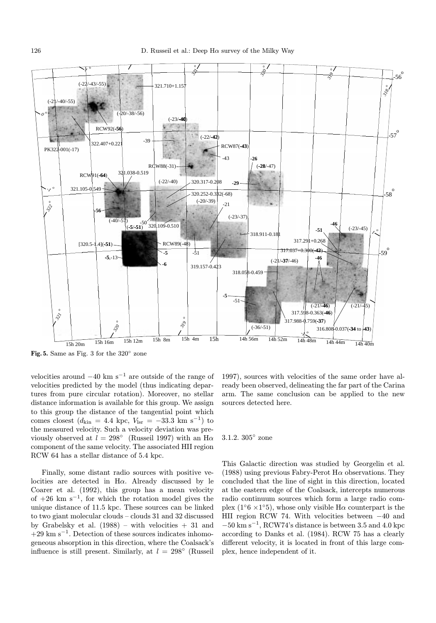

Fig. 5. Same as Fig. 3 for the 320◦ zone

velocities around  $-40 \text{ km s}^{-1}$  are outside of the range of velocities predicted by the model (thus indicating departures from pure circular rotation). Moreover, no stellar distance information is available for this group. We assign to this group the distance of the tangential point which comes closest ( $d_{\text{kin}} = 4.4 \text{ kpc}, V_{\text{lsr}} = -33.3 \text{ km s}^{-1}$ ) to the measured velocity. Such a velocity deviation was previously observed at  $l = 298^\circ$  (Russeil 1997) with an H $\alpha$ component of the same velocity. The associated HII region RCW 64 has a stellar distance of 5.4 kpc.

Finally, some distant radio sources with positive velocities are detected in H $\alpha$ . Already discussed by le Coarer et al. (1992), this group has a mean velocity of  $+26$  km s<sup>-1</sup>, for which the rotation model gives the unique distance of 11.5 kpc. These sources can be linked to two giant molecular clouds – clouds 31 and 32 discussed by Grabelsky et al.  $(1988)$  – with velocities  $+31$  and  $+29 \text{ km s}^{-1}$ . Detection of these sources indicates inhomogeneous absorption in this direction, where the Coalsack's influence is still present. Similarly, at  $l = 298°$  (Russeil

1997), sources with velocities of the same order have already been observed, delineating the far part of the Carina arm. The same conclusion can be applied to the new sources detected here.

#### 3.1.2. 305◦ zone

This Galactic direction was studied by Georgelin et al. (1988) using previous Fabry-Perot H $\alpha$  observations. They concluded that the line of sight in this direction, located at the eastern edge of the Coalsack, intercepts numerous radio continuum sources which form a large radio complex (1 $\degree$ 6 ×1 $\degree$ 5), whose only visible H $\alpha$  counterpart is the HII region RCW 74. With velocities between −40 and  $-50$  km s<sup>-1</sup>, RCW74's distance is between 3.5 and 4.0 kpc according to Danks et al. (1984). RCW 75 has a clearly different velocity, it is located in front of this large complex, hence independent of it.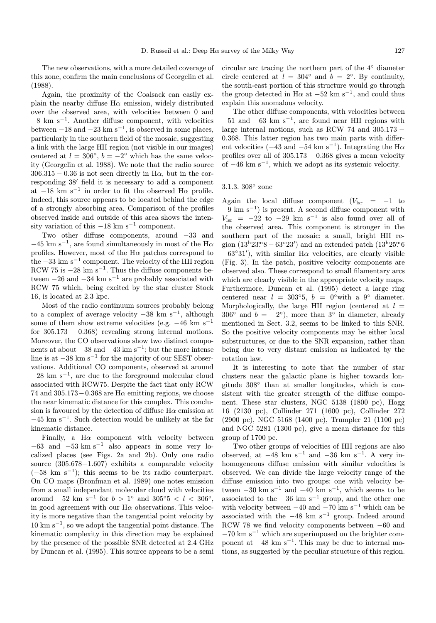The new observations, with a more detailed coverage of this zone, confirm the main conclusions of Georgelin et al. (1988).

Again, the proximity of the Coalsack can easily explain the nearby diffuse  $H\alpha$  emission, widely distributed over the observed area, with velocities between 0 and  $-8$  km s<sup> $-1$ </sup>. Another diffuse component, with velocities between  $-18$  and  $-23$  km s<sup>-1</sup>, is observed in some places, particularly in the southern field of the mosaic, suggesting a link with the large HII region (not visible in our images) centered at  $l = 306°$ ,  $b = -2°$  which has the same velocity (Georgelin et al. 1988). We note that the radio source  $306.315 - 0.36$  is not seen directly in H $\alpha$ , but in the corresponding  $38'$  field it is necessary to add a component at  $-18$  km s<sup>-1</sup> in order to fit the observed H $\alpha$  profile. Indeed, this source appears to be located behind the edge of a strongly absorbing area. Comparison of the profiles observed inside and outside of this area shows the intensity variation of this  $-18 \text{ km s}^{-1}$  component.

Two other diffuse components, around −33 and  $-45$  km s<sup>-1</sup>, are found simultaneously in most of the H $\alpha$ profiles. However, most of the  $H\alpha$  patches correspond to the  $-33 \text{ km s}^{-1}$  component. The velocity of the HII region RCW 75 is  $-28 \text{ km s}^{-1}$ . Thus the diffuse components between  $-26$  and  $-34$  km s<sup>-1</sup> are probably associated with RCW 75 which, being excited by the star cluster Stock 16, is located at 2.3 kpc.

Most of the radio continuum sources probably belong to a complex of average velocity  $-38 \text{ km s}^{-1}$ , although some of them show extreme velocities (e.g.  $-46 \text{ km s}^{-1}$ ) for  $305.173 - 0.368$  revealing strong internal motions. Moreover, the CO observations show two distinct components at about  $-38$  and  $-43$  km s<sup>-1</sup>; but the more intense line is at  $-38 \text{ km s}^{-1}$  for the majority of our SEST observations. Additional CO components, observed at around  $-28 \text{ km s}^{-1}$ , are due to the foreground molecular cloud associated with RCW75. Despite the fact that only RCW 74 and 305.173 – 0.368 are H $\alpha$  emitting regions, we choose the near kinematic distance for this complex. This conclusion is favoured by the detection of diffuse  $H\alpha$  emission at  $-45$  km s<sup>-1</sup>. Such detection would be unlikely at the far kinematic distance.

Finally, a H $\alpha$  component with velocity between  $-63$  and  $-53$  km s<sup>-1</sup> also appears in some very localized places (see Figs. 2a and 2b). Only one radio source (305.678+1.607) exhibits a comparable velocity  $(-58 \text{ km s}^{-1})$ ; this seems to be its radio counterpart. On CO maps (Bronfman et al. 1989) one notes emission from a small independant molecular cloud with velocities around  $-52$  km s<sup>-1</sup> for  $b > 1°$  and  $305°5 < l < 306°$ , in good agreement with our  $H\alpha$  observations. This velocity is more negative than the tangential point velocity by  $10 \text{ km s}^{-1}$ , so we adopt the tangential point distance. The kinematic complexity in this direction may be explained by the presence of the possible SNR detected at 2.4 GHz by Duncan et al. (1995). This source appears to be a semi circular arc tracing the northern part of the 4◦ diameter circle centered at  $l = 304^\circ$  and  $b = 2^\circ$ . By continuity, the south-east portion of this structure would go through the group detected in H $\alpha$  at  $-52$  km s<sup>-1</sup>, and could thus explain this anomalous velocity.

The other diffuse components, with velocities between  $-51$  and  $-63$  km s<sup>-1</sup>, are found near HII regions with large internal motions, such as RCW 74 and 305.173 − 0.368. This latter region has two main parts with different velocities ( $-43$  and  $-54$  km s<sup>-1</sup>). Integrating the H $\alpha$ profiles over all of  $305.173 - 0.368$  gives a mean velocity of  $-46 \text{ km s}^{-1}$ , which we adopt as its systemic velocity.

## 3.1.3. 308◦ zone

Again the local diffuse component  $(V_{\text{lsr}} = -1)$  to  $-9 \text{ km s}^{-1}$ ) is present. A second diffuse component with  $V_{\text{lsr}} = -22$  to  $-29$  km s<sup>-1</sup> is also found over all of the observed area. This component is stronger in the southern part of the mosaic: a small, bright HII region  $(13<sup>h</sup>23<sup>m</sup>8 - 63°23')$  and an extended patch  $(13<sup>h</sup>25<sup>m</sup>6)$  $-63°31'$ , with similar H $\alpha$  velocities, are clearly visible (Fig. 3). In the patch, positive velocity components are observed also. These correspond to small filamentary arcs which are clearly visible in the appropriate velocity maps. Furthermore, Duncan et al. (1995) detect a large ring centered near  $l = 303°5$ ,  $b = 0°$  with a 9° diameter. Morphologically, the large HII region (centered at  $l =$ 306<sup>°</sup> and  $b = -2$ °), more than 3<sup>°</sup> in diameter, already mentioned in Sect. 3.2, seems to be linked to this SNR. So the positive velocity components may be either local substructures, or due to the SNR expansion, rather than being due to very distant emission as indicated by the rotation law.

It is interesting to note that the number of star clusters near the galactic plane is higher towards longitude 308◦ than at smaller longitudes, which is consistent with the greater strength of the diffuse component. These star clusters, NGC 5138 (1800 pc), Hogg 16 (2130 pc), Collinder 271 (1600 pc), Collinder 272 (2900 pc), NGC 5168 (1400 pc), Trumpler 21 (1100 pc) and NGC 5281 (1300 pc), give a mean distance for this group of 1700 pc.

Two other groups of velocities of HII regions are also observed, at  $-48$  km s<sup>-1</sup> and  $-36$  km s<sup>-1</sup>. A very inhomogeneous diffuse emission with similar velocities is observed. We can divide the large velocity range of the diffuse emission into two groups: one with velocity between  $-30 \text{ km s}^{-1}$  and  $-40 \text{ km s}^{-1}$ , which seems to be associated to the  $-36 \text{ km s}^{-1}$  group, and the other one with velocity between  $-40$  and  $-70$  km s<sup>-1</sup> which can be associated with the  $-48$  km s<sup>-1</sup> group. Indeed around RCW 78 we find velocity components between −60 and  $-70 \text{ km s}^{-1}$  which are superimposed on the brighter component at  $-48 \text{ km s}^{-1}$ . This may be due to internal motions, as suggested by the peculiar structure of this region.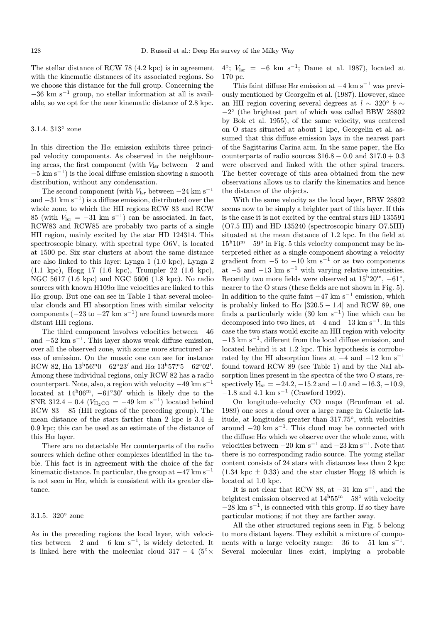The stellar distance of RCW 78 (4.2 kpc) is in agreement with the kinematic distances of its associated regions. So we choose this distance for the full group. Concerning the  $-36$  km s<sup>-1</sup> group, no stellar information at all is available, so we opt for the near kinematic distance of 2.8 kpc.

## 3.1.4. 313◦ zone

In this direction the  $H\alpha$  emission exhibits three principal velocity components. As observed in the neighbouring areas, the first component (with  $V_{\text{lsr}}$  between  $-2$  and  $-5$  km s<sup>-1</sup>) is the local diffuse emission showing a smooth distribution, without any condensation.

The second component (with  $V_{\text{lsr}}$  between  $-24 \text{ km s}^{-1}$ and  $-31 \text{ km s}^{-1}$ ) is a diffuse emission, distributed over the whole zone, to which the HII regions RCW 83 and RCW 85 (with  $V_{\text{lsr}} = -31 \text{ km s}^{-1}$ ) can be associated. In fact, RCW83 and RCW85 are probably two parts of a single HII region, mainly excited by the star HD 124314. This spectroscopic binary, with spectral type O6V, is located at 1500 pc. Six star clusters at about the same distance are also linked to this layer: Lynga 1 (1.0 kpc), Lynga 2 (1.1 kpc), Hogg 17 (1.6 kpc), Trumpler 22 (1.6 kpc), NGC 5617 (1.6 kpc) and NGC 5606 (1.8 kpc). No radio sources with known  $H109\alpha$  line velocities are linked to this  $H\alpha$  group. But one can see in Table 1 that several molecular clouds and HI absorption lines with similar velocity components  $(-23 \text{ to } -27 \text{ km s}^{-1})$  are found towards more distant HII regions.

The third component involves velocities between −46 and  $-52 \text{ km s}^{-1}$ . This layer shows weak diffuse emission, over all the observed zone, with some more structured areas of emission. On the mosaic one can see for instance RCW 82, H $\alpha$  13<sup>h</sup>56<sup>m</sup>0 – 62°23′ and H $\alpha$  13<sup>h</sup>57<sup>m</sup>5 –62°02′. Among these individual regions, only RCW 82 has a radio counterpart. Note, also, a region with velocity  $-49 \text{ km s}^{-1}$ located at  $14^{\rm h}06^{\rm m}$ ,  $-61°30'$  which is likely due to the SNR 312.4 – 0.4 ( $V_{\text{H}_2\text{CO}}$  = –49 km s<sup>-1</sup>) located behind RCW 83 − 85 (HII regions of the preceding group). The mean distance of the stars farther than 2 kpc is 3.4  $\pm$ 0.9 kpc; this can be used as an estimate of the distance of this  $H\alpha$  layer.

There are no detectable  $H\alpha$  counterparts of the radio sources which define other complexes identified in the table. This fact is in agreement with the choice of the far kinematic distance. In particular, the group at  $-47 \text{ km s}^{-1}$ is not seen in  $H\alpha$ , which is consistent with its greater distance.

## 3.1.5. 320◦ zone

As in the preceding regions the local layer, with velocities between  $-2$  and  $-6$  km s<sup>-1</sup>, is widely detected. It is linked here with the molecular cloud  $317 - 4$  ( $5° \times$   $4^{\circ}$ ;  $V_{\text{lsr}} = -6$  km s<sup>-1</sup>; Dame et al. 1987), located at 170 pc.

This faint diffuse H $\alpha$  emission at  $-4 \text{ km s}^{-1}$  was previously mentioned by Georgelin et al. (1987). However, since an HII region covering several degrees at  $l \sim 320^{\circ}$  b  $\sim$  $-2°$  (the brightest part of which was called BBW 28802 by Bok et al. 1955), of the same velocity, was centered on O stars situated at about 1 kpc, Georgelin et al. assumed that this diffuse emission lays in the nearest part of the Sagittarius Carina arm. In the same paper, the  $H\alpha$ counterparts of radio sources  $316.8 - 0.0$  and  $317.0 + 0.3$ were observed and linked with the other spiral tracers. The better coverage of this area obtained from the new observations allows us to clarify the kinematics and hence the distance of the objects.

With the same velocity as the local layer, BBW 28802 seems now to be simply a brighter part of this layer. If this is the case it is not excited by the central stars HD 135591 (O7.5 III) and HD 135240 (spectroscopic binary O7.5III) situated at the mean distance of 1.2 kpc. In the field at  $15^{\rm h}10^{\rm m}$  –59° in Fig. 5 this velocity component may be interpreted either as a single component showing a velocity gradient from  $-5$  to  $-10$  km s<sup>-1</sup> or as two components at  $-5$  and  $-13$  km s<sup>-1</sup> with varying relative intensities. Recently two more fields were observed at  $15^{\mathrm{h}}20^{\mathrm{m}}$ ,  $-61^{\circ}$ , nearer to the O stars (these fields are not shown in Fig. 5). In addition to the quite faint  $-47 \text{ km s}^{-1}$  emission, which is probably linked to  $H\alpha$  [320.5 – 1.4] and RCW 89, one finds a particularly wide  $(30 \text{ km s}^{-1})$  line which can be decomposed into two lines, at  $-4$  and  $-13$  km s<sup>-1</sup>. In this case the two stars would excite an HII region with velocity  $-13 \text{ km s}^{-1}$ , different from the local diffuse emission, and located behind it at 1.2 kpc. This hypothesis is corroborated by the HI absorption lines at  $-4$  and  $-12$  km s<sup>-1</sup> found toward RCW 89 (see Table 1) and by the NaI absorption lines present in the spectra of the two O stars, respectively  $V_{\text{lsr}} = -24.2, -15.2$  and  $-1.0$  and  $-16.3, -10.9$ ,  $-1.8$  and 4.1 km s<sup>-1</sup> (Crawford 1992).

On longitude–velocity CO maps (Bronfman et al. 1989) one sees a cloud over a large range in Galactic latitude, at longitudes greater than 317.75◦, with velocities around  $-20 \text{ km s}^{-1}$ . This cloud may be connected with the diffuse  $H\alpha$  which we observe over the whole zone, with velocities between  $-20 \text{ km s}^{-1}$  and  $-23 \text{ km s}^{-1}$ . Note that there is no corresponding radio source. The young stellar content consists of 24 stars with distances less than 2 kpc  $(1.34 \text{ kpc} \pm 0.33)$  and the star cluster Hogg 18 which is located at 1.0 kpc.

It is not clear that RCW 88, at  $-31 \text{ km s}^{-1}$ , and the brightest emission observed at  $14^{\mathrm{h}}55^{\mathrm{m}}$  –58° with velocity  $-28$  km s<sup>-1</sup>, is connected with this group. If so they have particular motions; if not they are farther away.

All the other structured regions seen in Fig. 5 belong to more distant layers. They exhibit a mixture of components with a large velocity range:  $-36$  to  $-51$  km s<sup>-1</sup>. Several molecular lines exist, implying a probable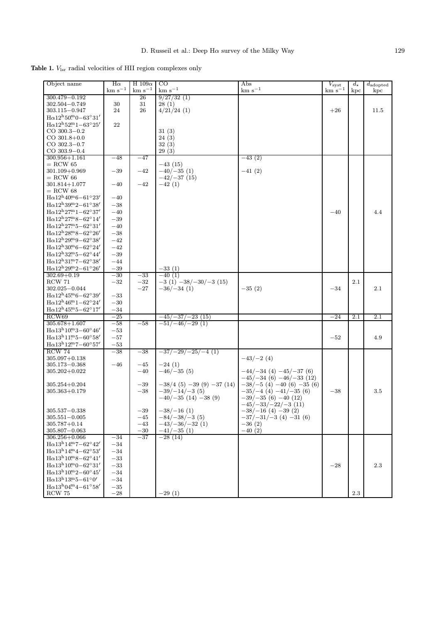Table 1.  $V_{\rm lsr}$  radial velocities of HII region complexes only

| Object name                                                     | $H\alpha$       | H $109\alpha$  | CO                               | Abs                                             | $V_{\rm syst}$  | $d_{\star}$ |                                        |
|-----------------------------------------------------------------|-----------------|----------------|----------------------------------|-------------------------------------------------|-----------------|-------------|----------------------------------------|
|                                                                 | $\rm km~s^{-1}$ | $km s^{-1}$    | $km s^{-1}$                      | $\rm km~s^{-1}$                                 | $\rm km~s^{-1}$ | kpc         | $\overline{d}_{\text{adopted}}$<br>kpc |
| $300.479 - 0.192$                                               |                 | 26             | 9/27/32(1)                       |                                                 |                 |             |                                        |
| 302.504-0.749                                                   | 30              | 31             | 28(1)                            |                                                 |                 |             |                                        |
| $303.115 - 0.947$                                               | 24              | 26             | $4/21/24$ (1)                    |                                                 | $+26$           |             | 11.5                                   |
| $H\alpha12^{h}50^{m}0-63^{\circ}31'$                            |                 |                |                                  |                                                 |                 |             |                                        |
| $H\alpha$ 12 <sup>h</sup> 52 <sup>m</sup> 1-63°25'              | 22              |                |                                  |                                                 |                 |             |                                        |
| $CO$ 300.3 $-0.2$                                               |                 |                | 31(3)                            |                                                 |                 |             |                                        |
| $CO$ 301.8+0.0                                                  |                 |                | 24(3)                            |                                                 |                 |             |                                        |
| $CO$ 302.3 $-0.7$                                               |                 |                | 32(3)                            |                                                 |                 |             |                                        |
| $CO$ 303.9 $-0.4$                                               |                 |                | 29(3)                            |                                                 |                 |             |                                        |
| $300.956 + 1.161$                                               | $-48$           | $-47$          |                                  | $-43(2)$                                        |                 |             |                                        |
| $=$ RCW 65                                                      |                 |                | $-43(15)$                        |                                                 |                 |             |                                        |
| $301.109 + 0.969$                                               | $^{-39}$        | $-42$          | $-40/-35(1)$                     | $-41(2)$                                        |                 |             |                                        |
| $=$ RCW 66                                                      |                 |                | $-42/-37(15)$                    |                                                 |                 |             |                                        |
| $301.814 + 1.077$                                               | $-40$           | $-42$          | $-42(1)$                         |                                                 |                 |             |                                        |
| $=$ RCW 68                                                      |                 |                |                                  |                                                 |                 |             |                                        |
| $H \alpha 12^{h} 40^{m} 6 - 61^{\circ} 23'$                     | $-40$           |                |                                  |                                                 |                 |             |                                        |
| $H \alpha 12^{\rm h} 39^{\rm m} 2 - 61^{\circ} 38'$             | $-38$           |                |                                  |                                                 |                 |             |                                        |
| $H \alpha 12^{h} 27^{m} 1 - 62^{\circ} 37'$                     | $-40$           |                |                                  |                                                 | $-40$           |             | 4.4                                    |
| $H \alpha 12^{h} 27^{m} 8 - 62^{\circ} 14'$                     | $-39$           |                |                                  |                                                 |                 |             |                                        |
| $H \alpha 12^{h} 27^{m} 5 - 62^{\circ} 31'$                     | $-40$           |                |                                  |                                                 |                 |             |                                        |
| $H \alpha 12^{h} 28^{m} 8 - 62^{\circ} 26'$                     | $-38$           |                |                                  |                                                 |                 |             |                                        |
| $H \alpha 12^{h} 29^{m} 9 - 62^{\circ} 38'$                     | $-42$           |                |                                  |                                                 |                 |             |                                        |
| $H \alpha 12^{h} 30^{m} 6 - 62^{\circ} 24'$                     |                 |                |                                  |                                                 |                 |             |                                        |
| $H \alpha 12^{\rm h}32^{\rm m}5 - 62^{\circ}44'$                | $-42$           |                |                                  |                                                 |                 |             |                                        |
|                                                                 | $-39$           |                |                                  |                                                 |                 |             |                                        |
| $H\alpha 12^{h}31^{m}7-62^{\circ}38'$                           | $-44$           |                |                                  |                                                 |                 |             |                                        |
| $H \alpha 12^{h} 29^{m} 2 - 61^{\circ} 26'$                     | $-39\,$         |                | $-33(1)$                         |                                                 |                 |             |                                        |
| $302.69 + 0.19$                                                 | $-30$           | $-33$          | $-40(1)$                         |                                                 |                 |             |                                        |
| <b>RCW 71</b>                                                   | $-32$           | $-32$          | $-3(1)$ $-38/-30/-3(15)$         |                                                 |                 | 2.1         |                                        |
| $302.025 - 0.044$                                               |                 | $-27$          | $-36/-34(1)$                     | $-35(2)$                                        | $-34$           |             | 2.1                                    |
| $H \alpha 12^{\rm h} 45^{\rm m} 6 - 62^{\circ} 39'$             | $^{-33}$        |                |                                  |                                                 |                 |             |                                        |
| $H \alpha 12^{h} 46^{m} 1 - 62^{\circ} 24'$                     | $-30$           |                |                                  |                                                 |                 |             |                                        |
| $H \alpha 12^{\rm h} 45^{\rm m} 5 - 62^{\circ} 17'$             | $-34$           |                |                                  |                                                 |                 |             |                                        |
| RCW69                                                           | $-25$           |                | $-45/-37/-23(15)$                |                                                 | $-24$           | 2.1         | 2.1                                    |
| $305.678 + 1.607$                                               | $-58$           | $-58$          | $-51/ -46/ -29(1)$               |                                                 |                 |             |                                        |
| $H\alpha$ 13 <sup>h</sup> 10 <sup>m</sup> 3-60 <sup>o</sup> 46' | $-53$           |                |                                  |                                                 |                 |             |                                        |
| $H\alpha13^{h}11^{m}5-60^{\circ}58'$                            | $-57$           |                |                                  |                                                 | $-52$           |             | 4.9                                    |
| $H \alpha 13^{h} 12^{m} 7 - 60^{\circ} 57'$                     | $-53$           |                |                                  |                                                 |                 |             |                                        |
| <b>RCW 74</b>                                                   | $-38$           | $-38$          | $-37/29/25/4$ (1)                |                                                 |                 |             |                                        |
| $305.097 + 0.138$                                               |                 |                |                                  | $-43/-2(4)$                                     |                 |             |                                        |
| $305.173 - 0.368$                                               | $-46$           | $-45$          | $-24(1)$                         |                                                 |                 |             |                                        |
| $305.202 + 0.022$                                               |                 | $-40$          | $-46/-35(5)$                     | $-44/-34(4) -45/-37(6)$                         |                 |             |                                        |
|                                                                 |                 |                |                                  | $-45/-34(6) -46/-33(12)$                        |                 |             |                                        |
| $305.254 + 0.204$                                               |                 | $-39$          | $-38/4$ (5) $-39$ (9) $-37$ (14) | $-38/-5(4) -40(6) -35(6)$                       |                 |             |                                        |
| $305.363 + 0.179$                                               |                 | $-38$          | $-39/ -14/ -3(5)$                | $-35/-4(4)$ $-41/-35(6)$                        | $-38$           |             | $3.5\,$                                |
|                                                                 |                 |                | $-40/-35(14) -38(9)$             | $-39/-35(6) -40(12)$                            |                 |             |                                        |
| $305.537 - 0.338$                                               |                 |                | $-38/-16(1)$                     | $-45/-33/-22/-3(11)$<br>$-38/-16$ (4) $-39$ (2) |                 |             |                                        |
| $305.551 - 0.005$                                               |                 | $-39$<br>$-45$ | $-84/-38/-3(5)$                  | $-37/-31/-3$ (4) $-31$ (6)                      |                 |             |                                        |
| $305.787 + 0.14$                                                |                 | $-43$          | $-43/-36/-32(1)$                 | $-36(2)$                                        |                 |             |                                        |
| $305.807 - 0.063$                                               |                 | $-30\,$        | $-41/-35(1)$                     | $-40(2)$                                        |                 |             |                                        |
| $306.256 + 0.066$                                               | $-34$           | $-37$          | $-28(14)$                        |                                                 |                 |             |                                        |
| $H\alpha$ 13 <sup>h</sup> 14 <sup>m</sup> 7-62°42'              | $-34$           |                |                                  |                                                 |                 |             |                                        |
| $H \alpha 13^{\rm h}14^{\rm m}4 - 62^{\circ}53'$                | $-34$           |                |                                  |                                                 |                 |             |                                        |
| $H\alpha 13^{h}10^{m}8-62^{\circ}41'$                           | $-33$           |                |                                  |                                                 |                 |             |                                        |
| $H \alpha 13^{h} 10^{m} 0 - 62^{\circ} 31'$                     |                 |                |                                  |                                                 |                 |             |                                        |
|                                                                 | $-33$           |                |                                  |                                                 | $-28$           |             | $2.3\,$                                |
| $H \alpha 13^{\rm h} 10^{\rm m} 2 - 60^{\circ} 45'$             | $-34$           |                |                                  |                                                 |                 |             |                                        |
| $H\alpha$ 13 <sup>h</sup> 13 <sup>m</sup> 5-61°0'               | $-34$           |                |                                  |                                                 |                 |             |                                        |
| $H \alpha 13^{h}04^{m}4-61^{\circ}58'$                          | $-35$           |                |                                  |                                                 |                 |             |                                        |
| $\rm{RCW}$ 75                                                   | $-28\,$         |                | $-29(1)$                         |                                                 |                 | $2.3\,$     |                                        |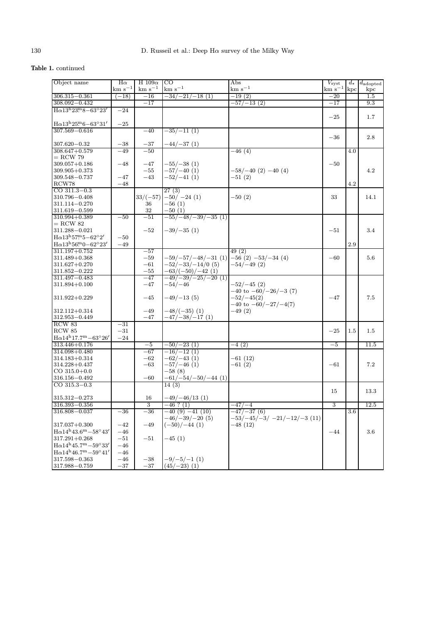## Table 1. continued

| Object name                                             | $H\alpha$       | H $109\alpha$  | $_{\rm CO}$                                   | Abs                         | $V_{\text{syst}}$ | $d_{\star}$ | $d_{\rm adopted}$ |
|---------------------------------------------------------|-----------------|----------------|-----------------------------------------------|-----------------------------|-------------------|-------------|-------------------|
|                                                         | $\rm km~s^{-1}$ | $km s^{-1}$    | $km s-1$                                      | $km s^{-1}$                 | $km s^{-1}$ kpc   |             | kpc               |
| $306.315 - 0.361$                                       | $-18)$          | $-16$          | $-34/-21/-18(1)$                              | $-19(2)$                    | $-20$             |             | $1.5\,$           |
| $308.092 - 0.432$                                       |                 | $-17$          |                                               | -57/-13 (2)                 | $-17$             |             | 9.3               |
| $H \alpha 13^{h} 23^{m} 8 - 63^{\circ} 23'$             | $-24$           |                |                                               |                             |                   |             |                   |
|                                                         |                 |                |                                               |                             | $-25$             |             | $1.7\,$           |
| $H\alpha13^{h}25^{m}6-63^{\circ}31'$                    | $-25\,$         |                |                                               |                             |                   |             |                   |
| $307.569 - 0.616$                                       |                 | $-40$          | $-35/-11(1)$                                  |                             |                   |             |                   |
|                                                         |                 |                |                                               |                             | $-36$             |             | 2.8               |
| $307.620 - 0.32$                                        | $-38$           | $-37\,$        | $-44/-37(1)$                                  |                             |                   |             |                   |
| $308.647 + 0.579$                                       | $-49$           | $-50$          |                                               | -46 (4)                     |                   | 4.0         |                   |
| $=$ RCW 79                                              |                 |                |                                               |                             |                   |             |                   |
| $309.057 + 0.186$                                       | $-48$           | $-47$          | $-55/-38(1)$                                  |                             | $-50$             |             |                   |
| $309.905 + 0.373$                                       |                 | $-55$          | $-57/-40(1)$                                  | $-58/-40(2) -40(4)$         |                   |             | 4.2               |
| $309.548 - 0.737$                                       | $-47$           | $-43$          | $-52/-41(1)$                                  | $-51(2)$                    |                   |             |                   |
| RCW78                                                   | $-48$           |                |                                               |                             |                   | 4.2         |                   |
| CO $311.3 - 0.3$                                        |                 |                | 27(3)                                         |                             |                   |             |                   |
| 310.796-0.408                                           |                 | $33/(-57)$     | $-50/-24(1)$                                  | $-50(2)$                    | 33                |             | 14.1              |
| 311.114-0.270                                           |                 | 36             | $-56(1)$                                      |                             |                   |             |                   |
| $311.619 - 0.599$                                       |                 | 32             | $-50(1)$                                      |                             |                   |             |                   |
| $310.994 + 0.389$                                       | $-50$           | $-51$          | $\frac{-55}{-48}/\frac{-39}{-35}$ (1)         |                             |                   |             |                   |
| $=$ RCW 82<br>$311.288 - 0.021$                         |                 | $-52$          | $-39/-35(1)$                                  |                             | $-51$             |             | 3.4               |
| $H \alpha 13^{\mathrm{h}}57^{\mathrm{m}}5-62^{\circ}2'$ | $-50$           |                |                                               |                             |                   |             |                   |
| $H \alpha 13^{h} 56^{m} 0 - 62^{\circ} 23'$             |                 |                |                                               |                             |                   |             |                   |
|                                                         | $-49$           |                |                                               |                             |                   | 2.9         |                   |
| $311.197 + 0.752$<br>$311.489 + 0.368$                  |                 | $-57$          | $-59/-57/-48/-31$ (1) $-56$ (2) $-53/-34$ (4) | 49(2)                       |                   |             |                   |
|                                                         |                 | $-59$          | $-52/-33/-14/0(5)$                            |                             | $-60$             |             | $5.6\,$           |
| $311.627 + 0.270$<br>311.852-0.222                      |                 | $-61$<br>$-55$ | $-63/(-50)/-42(1)$                            | $-54/-49(2)$                |                   |             |                   |
| 311.497-0.483                                           |                 | $-47$          | $\frac{-49}{-39}/\frac{-25}{-20}$ (1)         |                             |                   |             |                   |
| 311.894+0.100                                           |                 | $-47$          | $-54/-46$                                     | $-52/-45(2)$                |                   |             |                   |
|                                                         |                 |                |                                               | $-40$ to $-60/-26/-3$ (7)   |                   |             |                   |
| $311.922 + 0.229$                                       |                 | $-45$          | $-49/-13(5)$                                  | $-52/-45(2)$                | $-47$             |             | 7.5               |
|                                                         |                 |                |                                               | $-40$ to $-60/-27/-4(7)$    |                   |             |                   |
| $312.112 + 0.314$                                       |                 | $-49$          | $-48/(-35)$ (1)                               | $-49(2)$                    |                   |             |                   |
| $312.953 - 0.449$                                       |                 | $-47$          | $-47/-38/-17(1)$                              |                             |                   |             |                   |
| RCW 83                                                  | $-31$           |                |                                               |                             |                   |             |                   |
| RCW 85                                                  | $-31$           |                |                                               |                             | $-25$             | 1.5         | $1.5\,$           |
| $H\alpha 14^{h}17.7^{m}-63^{\circ}26'$                  | $-24$           |                |                                               |                             |                   |             |                   |
| $313.446 + 0.176$                                       |                 | $-5$           | $-50/-23(1)$                                  | $-4(2)$                     | $-5$              |             | 11.5              |
| $314.098 + 0.480$                                       |                 | $-67$          | $-16/-12(1)$                                  |                             |                   |             |                   |
| $314.183 + 0.314$                                       |                 | $-62$          | $-62/-43(1)$                                  | $-61(12)$                   |                   |             |                   |
| $314.228 + 0.437$                                       |                 | $-63$          | $-57/-46(1)$                                  | $-61(2)$                    | $-61$             |             | 7.2               |
| $CO$ 315.0+0.0                                          |                 |                | $-58(8)$                                      |                             |                   |             |                   |
| $316.156 - 0.492$                                       |                 | $-60$          | $-61/-54/-50/-44(1)$                          |                             |                   |             |                   |
| $CO$ 315.3-0.3                                          |                 |                | 14(3)                                         |                             |                   |             |                   |
|                                                         |                 |                |                                               |                             | 15                |             | 13.3              |
| $315.312 - 0.273$                                       |                 | 16             | $-49/-46/13(1)$                               |                             |                   |             |                   |
| $316.393 - 0.356$                                       |                 | $\overline{3}$ | $-46$ ? (1)                                   | $-47/ -4$                   | $\overline{3}$    |             | 12.5              |
| 316.808-0.037                                           | $^{-36}$        | $-36$          | $-40(9) -41(10)$                              | $-47/-37(6)$                |                   | 3.6         |                   |
|                                                         |                 |                | $-46/-39/-20(5)$                              | $-53/-45/-3/-21/-12/-3(11)$ |                   |             |                   |
| $317.037 + 0.300$                                       | $-42$           | $-49$          | $(-50)/-44$ (1)                               | $-48(12)$                   |                   |             |                   |
| $H\alpha 14^{h}43.6^{m}-58^{\circ}43'$                  | $-46$           |                |                                               |                             | $-44$             |             | $3.6\,$           |
| $317.291 + 0.268$                                       | $-51$           | $-51$          | $-45(1)$                                      |                             |                   |             |                   |
| $H\alpha$ 14 <sup>h</sup> 45.7 <sup>m</sup> - 59°33'    | $-46$           |                |                                               |                             |                   |             |                   |
| $H \alpha 14^{h} 46.7^{m} - 59^{\circ} 41'$             | $-46$           |                |                                               |                             |                   |             |                   |
| $317.598 - 0.363$                                       | $-46$           | $-38$          | $-9/-5/-1(1)$                                 |                             |                   |             |                   |
| 317.988-0.759                                           | $-37\,$         | $-37$          | $(45/-23)$ (1)                                |                             |                   |             |                   |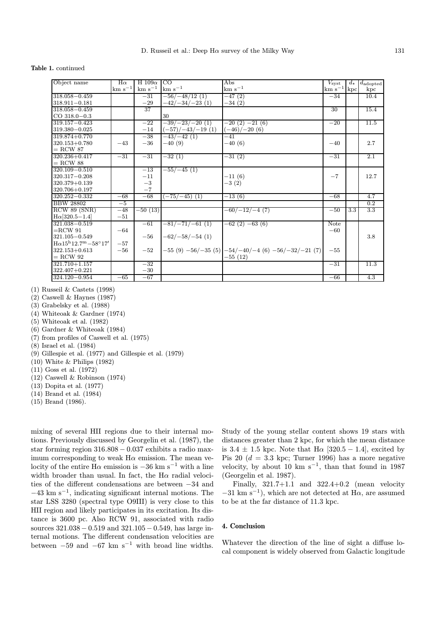#### Table 1. continued

| Object name                           | $H\alpha$       | H $109\alpha$    | CO.                        | $\overline{\mathrm{Abs}}$                              | $V_{\rm syst}$  | $d_{+}$ | $d_{\text{adopted}}$ |
|---------------------------------------|-----------------|------------------|----------------------------|--------------------------------------------------------|-----------------|---------|----------------------|
|                                       | $\rm km~s^{-1}$ | $~\rm km~s^{-1}$ | $km s^{-1}$                | $km s^{-1}$                                            | $km s^{-1}$ kpc |         | kpc                  |
| $318.058 - 0.459$                     |                 | $-31$            | $-56/-48/12(1)$            | $-47(2)$                                               | $-34$           |         | 10.4                 |
| $318.911 - 0.181$                     |                 | $-29$            | $-42/-34/-23(1)$           | $-34(2)$                                               |                 |         |                      |
| $318.058 - 0.459$                     |                 | 37               |                            |                                                        | 30              |         | 15.4                 |
| $CO$ 318.0-0.3                        |                 |                  | 30                         |                                                        |                 |         |                      |
| $319.157 - 0.423$                     |                 | $-22$            | $-39/-23/-20(1)$           | $-20(2) -21(6)$                                        | $-20$           |         | 11.5                 |
| 319.380-0.025                         |                 | $-14$            | $(-57)/-43/-19(1)$         | $(-46)/-20(6)$                                         |                 |         |                      |
| 319.874+0.770                         |                 | $-38$            | $-43/-42(1)$               | $-41$                                                  |                 |         |                      |
| $320.153 + 0.780$                     | $-43$           | $-36$            | $-40(9)$                   | $-40(6)$                                               | $-40$           |         | 2.7                  |
| $=$ RCW 87                            |                 |                  |                            |                                                        |                 |         |                      |
| $320.236 + 0.417$                     | $-31$           | $-31$            | $-32(1)$                   | $-31(2)$                                               | $-31$           |         | $\overline{2.1}$     |
| $=$ RCW 88                            |                 |                  |                            |                                                        |                 |         |                      |
| $320.109 - 0.510$                     |                 | $-13$            | $-55/-45(1)$               |                                                        |                 |         |                      |
| $320.317 - 0.208$                     |                 | $-11$            |                            | $-11(6)$                                               | $-7$            |         | 12.7                 |
| $320.379 + 0.139$                     |                 | $-3$             |                            | $-3(2)$                                                |                 |         |                      |
| 320.706+0.197                         |                 | $-7$             |                            |                                                        |                 |         |                      |
| $320.252 - 0.332$                     | $-68$           | $-68$            | $(-75/-45)$ (1)            | $-13(6)$                                               | $-68$           |         | 4.7                  |
| <b>BBW 28802</b>                      | $-5$            |                  |                            |                                                        |                 |         | 0.2                  |
| RCW 89 (SNR)                          | $-48$           | $-50(13)$        |                            | $-60/-12/-4(7)$                                        | $-50$           | 3.3     | 3.3                  |
| $H\alpha$ [320.5-1.4]                 | $-51$           |                  |                            |                                                        |                 |         |                      |
| $321.038 - 0.519$                     |                 | $-61$            | $\frac{-81}{-71}{-61}$ (1) | $-62(2) -63(6)$                                        | Note            |         |                      |
| $=$ RCW 91                            | $-64$           |                  |                            |                                                        | $-60$           |         |                      |
| $321.105 - 0.549$                     |                 | $-56$            | $-62/-58/-54(1)$           |                                                        |                 |         | 3.8                  |
| $H\alpha15^{h}12.7^{m}-58^{\circ}17'$ | $-57$           |                  |                            |                                                        |                 |         |                      |
| $322.153 + 0.613$                     | $-56$           | $-52$            |                            | $-55(9)$ $-56/-35(5)$ $-54/-40/-4(6)$ $-56/-32/-21(7)$ | $-55$           |         |                      |
| $=$ RCW 92                            |                 |                  |                            | $-55(12)$                                              |                 |         |                      |
| $321.710 + 1.157$                     |                 | $-32$            |                            |                                                        | $-31$           |         | 11.3                 |
| 322.407+0.221                         |                 | $-30$            |                            |                                                        |                 |         |                      |
| $324.120 - 0.954$                     | $-65$           | $-67$            |                            |                                                        | $-66$           |         | 4.3                  |

(1) Russeil & Castets (1998)

- (2) Caswell & Haynes (1987)
- (3) Grabelsky et al. (1988)
- (4) Whiteoak & Gardner (1974)
- (5) Whiteoak et al. (1982)
- (6) Gardner & Whiteoak (1984)
- (7) from profiles of Caswell et al. (1975)
- (8) Israel et al. (1984)
- (9) Gillespie et al. (1977) and Gillespie et al. (1979)
- (10) White & Philips (1982)
- (11) Goss et al. (1972)
- (12) Caswell & Robinson (1974)
- (13) Dopita et al. (1977)
- (14) Brand et al. (1984)
- (15) Brand (1986).

mixing of several HII regions due to their internal motions. Previously discussed by Georgelin et al. (1987), the star forming region 316.808 − 0.037 exhibits a radio maximum corresponding to weak  $H\alpha$  emission. The mean velocity of the entire H $\alpha$  emission is  $-36$  km s<sup>-1</sup> with a line width broader than usual. In fact, the  $H\alpha$  radial velocities of the different condensations are between −34 and  $-43 \text{ km s}^{-1}$ , indicating significant internal motions. The star LSS 3280 (spectral type O9III) is very close to this HII region and likely participates in its excitation. Its distance is 3600 pc. Also RCW 91, associated with radio sources  $321.038 - 0.519$  and  $321.105 - 0.549$ , has large internal motions. The different condensation velocities are between  $-59$  and  $-67$  km s<sup>-1</sup> with broad line widths.

Study of the young stellar content shows 19 stars with distances greater than 2 kpc, for which the mean distance is 3.4  $\pm$  1.5 kpc. Note that H $\alpha$  [320.5 – 1.4], excited by Pis 20 ( $d = 3.3$  kpc; Turner 1996) has a more negative velocity, by about 10 km s<sup>-1</sup>, than that found in 1987 (Georgelin et al. 1987).

Finally, 321.7+1.1 and 322.4+0.2 (mean velocity  $-31$  km s<sup>-1</sup>), which are not detected at H $\alpha$ , are assumed to be at the far distance of 11.3 kpc.

## 4. Conclusion

Whatever the direction of the line of sight a diffuse local component is widely observed from Galactic longitude